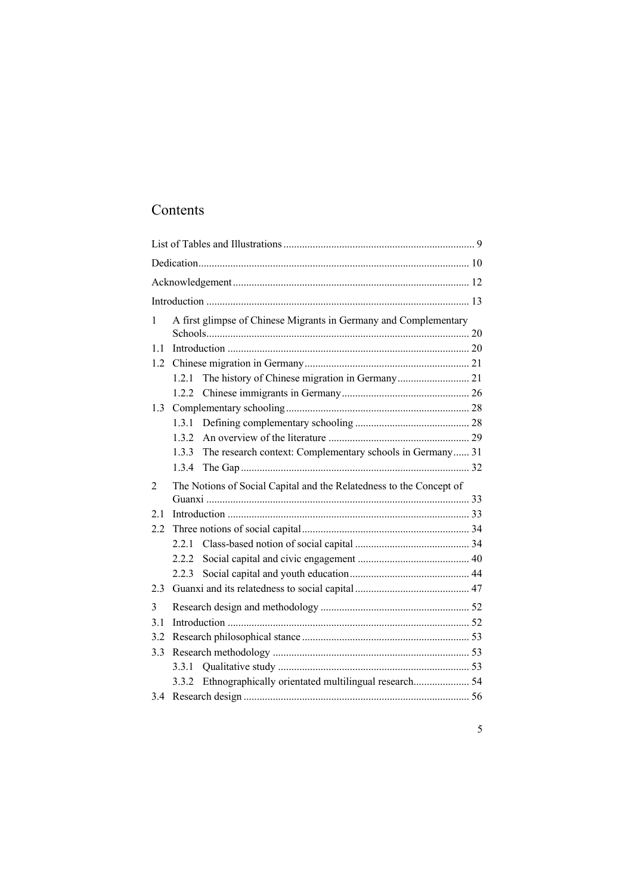## Contents

| 1   |                                                                     | A first glimpse of Chinese Migrants in Germany and Complementary |  |
|-----|---------------------------------------------------------------------|------------------------------------------------------------------|--|
|     |                                                                     |                                                                  |  |
| 1.1 |                                                                     |                                                                  |  |
| 1.2 |                                                                     |                                                                  |  |
|     | 1.2.1                                                               |                                                                  |  |
|     | 1.2.2                                                               |                                                                  |  |
| 1.3 |                                                                     |                                                                  |  |
|     | 1.3.1                                                               |                                                                  |  |
|     | 1.3.2                                                               |                                                                  |  |
|     | 1.3.3                                                               | The research context: Complementary schools in Germany 31        |  |
|     | 1.3.4                                                               |                                                                  |  |
| 2   | The Notions of Social Capital and the Relatedness to the Concept of |                                                                  |  |
|     |                                                                     |                                                                  |  |
| 2.1 |                                                                     |                                                                  |  |
| 2.2 |                                                                     |                                                                  |  |
|     | 2.2.1                                                               |                                                                  |  |
|     | 2.2.2                                                               |                                                                  |  |
|     | 2.2.3                                                               |                                                                  |  |
| 2.3 |                                                                     |                                                                  |  |
| 3   |                                                                     |                                                                  |  |
| 3.1 |                                                                     |                                                                  |  |
| 3.2 |                                                                     |                                                                  |  |
| 3.3 |                                                                     |                                                                  |  |
|     | 3.3.1                                                               |                                                                  |  |
|     | 3.3.2                                                               | Ethnographically orientated multilingual research 54             |  |
| 3.4 |                                                                     |                                                                  |  |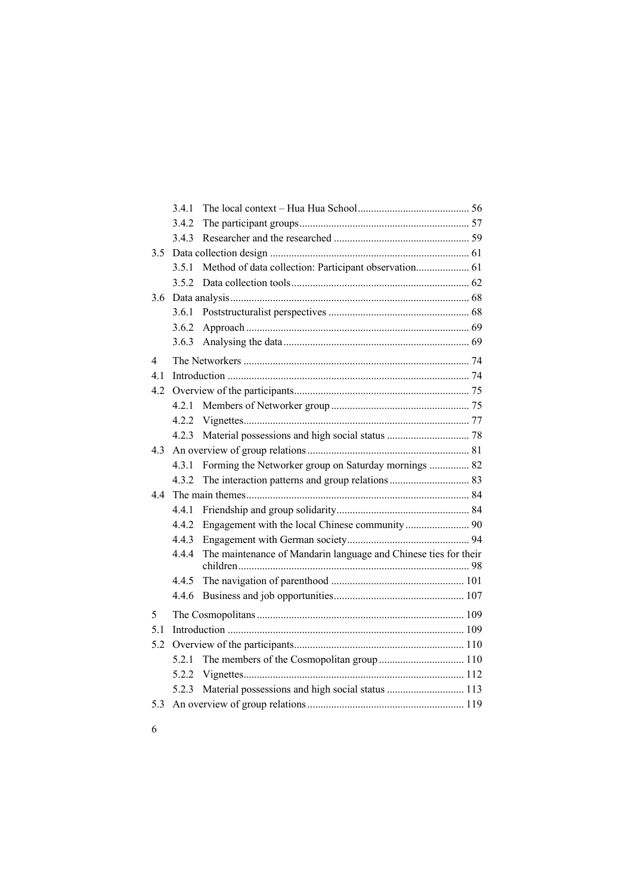|     | 3.4.1 |                                                                 |  |  |
|-----|-------|-----------------------------------------------------------------|--|--|
|     | 3.4.2 |                                                                 |  |  |
|     | 3.4.3 |                                                                 |  |  |
| 3.5 |       |                                                                 |  |  |
|     | 3.5.1 |                                                                 |  |  |
|     |       |                                                                 |  |  |
| 3.6 |       |                                                                 |  |  |
|     | 3.6.1 |                                                                 |  |  |
|     | 3.6.2 |                                                                 |  |  |
|     | 3.6.3 |                                                                 |  |  |
| 4   |       |                                                                 |  |  |
| 4.1 |       |                                                                 |  |  |
| 4.2 |       |                                                                 |  |  |
|     | 4.2.1 |                                                                 |  |  |
|     | 4.2.2 |                                                                 |  |  |
|     | 4.2.3 |                                                                 |  |  |
| 4.3 |       |                                                                 |  |  |
|     | 4.3.1 | Forming the Networker group on Saturday mornings  82            |  |  |
|     | 4.3.2 |                                                                 |  |  |
| 4.4 |       |                                                                 |  |  |
|     | 4.4.1 |                                                                 |  |  |
|     | 4.4.2 |                                                                 |  |  |
|     | 4.4.3 |                                                                 |  |  |
|     | 4.4.4 | The maintenance of Mandarin language and Chinese ties for their |  |  |
|     | 4.4.5 |                                                                 |  |  |
|     | 4.4.6 |                                                                 |  |  |
| 5   |       |                                                                 |  |  |
| 5.1 |       |                                                                 |  |  |
| 5.2 |       |                                                                 |  |  |
|     | 5.2.1 |                                                                 |  |  |
|     | 5.2.2 |                                                                 |  |  |
|     | 5.2.3 | Material possessions and high social status  113                |  |  |
| 5.3 |       |                                                                 |  |  |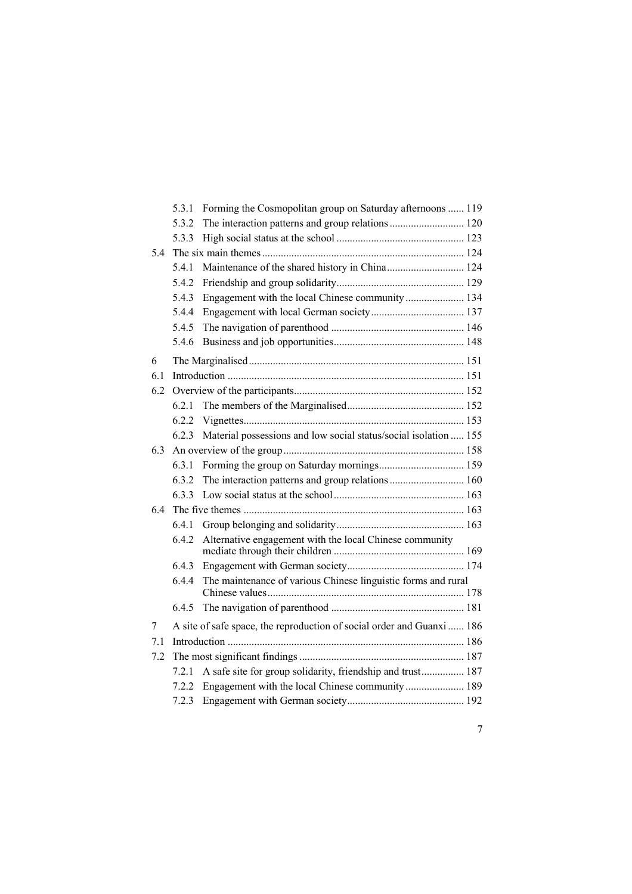|     | 5.3.1 | Forming the Cosmopolitan group on Saturday afternoons  119             |  |
|-----|-------|------------------------------------------------------------------------|--|
|     | 5.3.2 | The interaction patterns and group relations 120                       |  |
|     | 5.3.3 |                                                                        |  |
| 5.4 |       |                                                                        |  |
|     | 5.4.1 | Maintenance of the shared history in China 124                         |  |
|     | 5.4.2 |                                                                        |  |
|     | 5.4.3 | Engagement with the local Chinese community 134                        |  |
|     | 5.4.4 |                                                                        |  |
|     | 5.4.5 |                                                                        |  |
|     | 5.4.6 |                                                                        |  |
| 6   |       |                                                                        |  |
| 6.1 |       |                                                                        |  |
| 6.2 |       |                                                                        |  |
|     | 6.2.1 |                                                                        |  |
|     | 6.2.2 |                                                                        |  |
|     | 6.2.3 | Material possessions and low social status/social isolation  155       |  |
| 6.3 |       |                                                                        |  |
|     | 6.3.1 |                                                                        |  |
|     | 6.3.2 | The interaction patterns and group relations  160                      |  |
|     | 6.3.3 |                                                                        |  |
| 6.4 |       |                                                                        |  |
|     | 6.4.1 |                                                                        |  |
|     | 6.4.2 | Alternative engagement with the local Chinese community                |  |
|     | 6.4.3 |                                                                        |  |
|     | 6.4.4 | The maintenance of various Chinese linguistic forms and rural          |  |
|     | 6.4.5 |                                                                        |  |
| 7   |       | A site of safe space, the reproduction of social order and Guanxi  186 |  |
| 7.1 |       |                                                                        |  |
| 7.2 |       |                                                                        |  |
|     | 7.2.1 | A safe site for group solidarity, friendship and trust 187             |  |
|     | 7.2.2 |                                                                        |  |
|     | 7.2.3 |                                                                        |  |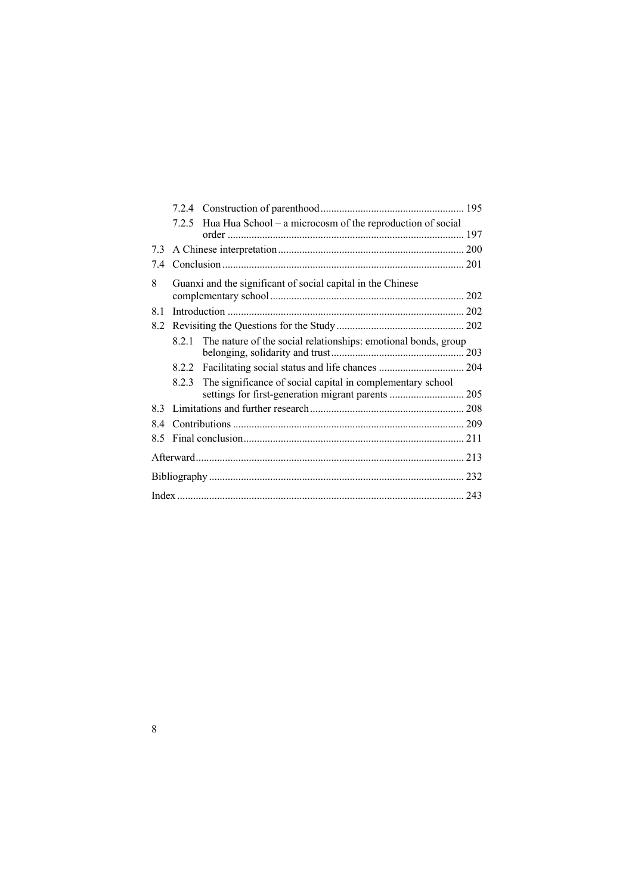|     | 7.2.5 | Hua Hua School - a microcosm of the reproduction of social     |  |
|-----|-------|----------------------------------------------------------------|--|
|     |       |                                                                |  |
|     |       |                                                                |  |
| 7.4 |       |                                                                |  |
| 8   |       | Guanxi and the significant of social capital in the Chinese    |  |
|     |       |                                                                |  |
| 8.1 |       |                                                                |  |
| 8.2 |       |                                                                |  |
|     | 8.2.1 | The nature of the social relationships: emotional bonds, group |  |
|     |       |                                                                |  |
|     |       |                                                                |  |
|     | 8.2.3 | The significance of social capital in complementary school     |  |
|     |       |                                                                |  |
|     |       |                                                                |  |
| 8.4 |       |                                                                |  |
| 8.5 |       |                                                                |  |
|     |       |                                                                |  |
|     |       |                                                                |  |
|     |       |                                                                |  |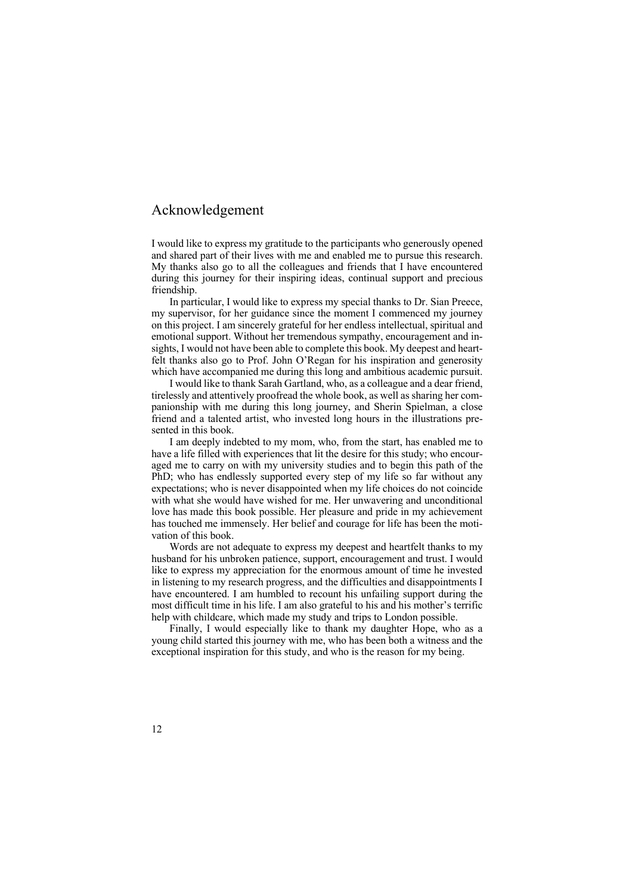## Acknowledgement

I would like to express my gratitude to the participants who generously opened and shared part of their lives with me and enabled me to pursue this research. My thanks also go to all the colleagues and friends that I have encountered during this journey for their inspiring ideas, continual support and precious friendship.

In particular, I would like to express my special thanks to Dr. Sian Preece, my supervisor, for her guidance since the moment I commenced my journey on this project. I am sincerely grateful for her endless intellectual, spiritual and emotional support. Without her tremendous sympathy, encouragement and insights, I would not have been able to complete this book. My deepest and heartfelt thanks also go to Prof. John O'Regan for his inspiration and generosity which have accompanied me during this long and ambitious academic pursuit.

I would like to thank Sarah Gartland, who, as a colleague and a dear friend, tirelessly and attentively proofread the whole book, as well as sharing her companionship with me during this long journey, and Sherin Spielman, a close friend and a talented artist, who invested long hours in the illustrations presented in this book.

I am deeply indebted to my mom, who, from the start, has enabled me to have a life filled with experiences that lit the desire for this study; who encouraged me to carry on with my university studies and to begin this path of the PhD; who has endlessly supported every step of my life so far without any expectations; who is never disappointed when my life choices do not coincide with what she would have wished for me. Her unwavering and unconditional love has made this book possible. Her pleasure and pride in my achievement has touched me immensely. Her belief and courage for life has been the motivation of this book.

Words are not adequate to express my deepest and heartfelt thanks to my husband for his unbroken patience, support, encouragement and trust. I would like to express my appreciation for the enormous amount of time he invested in listening to my research progress, and the difficulties and disappointments I have encountered. I am humbled to recount his unfailing support during the most difficult time in his life. I am also grateful to his and his mother's terrific help with childcare, which made my study and trips to London possible.

Finally, I would especially like to thank my daughter Hope, who as a young child started this journey with me, who has been both a witness and the exceptional inspiration for this study, and who is the reason for my being.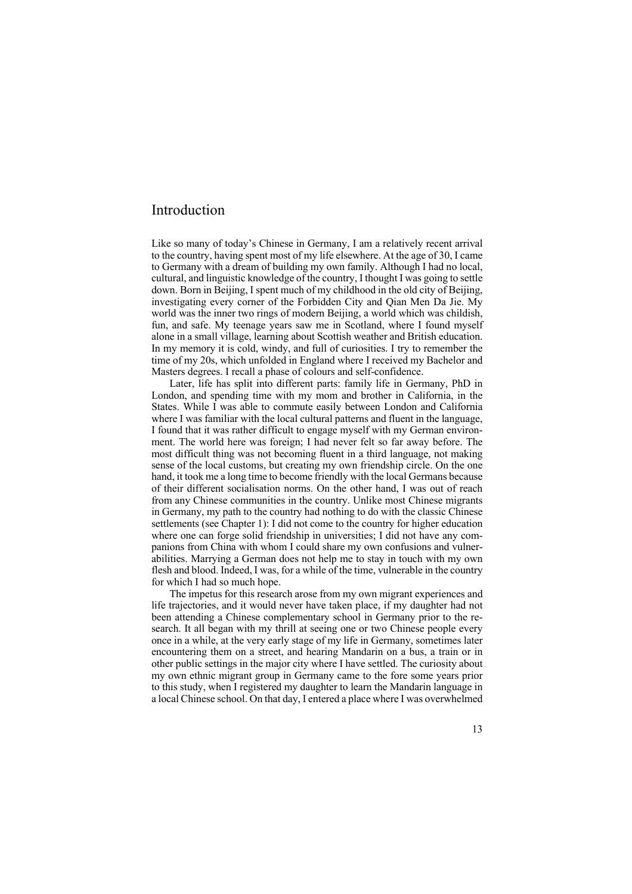## Introduction

Like so many of today's Chinese in Germany, I am a relatively recent arrival to the country, having spent most of my life elsewhere. At the age of 30, I came to Germany with a dream of building my own family. Although I had no local, cultural, and linguistic knowledge of the country, I thought I was going to settle down. Born in Beijing, I spent much of my childhood in the old city of Beijing, investigating every corner of the Forbidden City and Qian Men Da Jie. My world was the inner two rings of modern Beijing, a world which was childish, fun, and safe. My teenage years saw me in Scotland, where I found myself alone in a small village, learning about Scottish weather and British education. In my memory it is cold, windy, and full of curiosities. I try to remember the time of my 20s, which unfolded in England where I received my Bachelor and Masters degrees. I recall a phase of colours and self-confidence.

Later, life has split into different parts: family life in Germany, PhD in London, and spending time with my mom and brother in California, in the States. While I was able to commute easily between London and California where I was familiar with the local cultural patterns and fluent in the language, I found that it was rather difficult to engage myself with my German environment. The world here was foreign; I had never felt so far away before. The most difficult thing was not becoming fluent in a third language, not making sense of the local customs, but creating my own friendship circle. On the one hand, it took me a long time to become friendly with the local Germans because of their different socialisation norms. On the other hand, I was out of reach from any Chinese communities in the country. Unlike most Chinese migrants in Germany, my path to the country had nothing to do with the classic Chinese settlements (see Chapter 1): I did not come to the country for higher education where one can forge solid friendship in universities; I did not have any companions from China with whom I could share my own confusions and vulnerabilities. Marrying a German does not help me to stay in touch with my own flesh and blood. Indeed, I was, for a while of the time, vulnerable in the country for which I had so much hope.

The impetus for this research arose from my own migrant experiences and life trajectories, and it would never have taken place, if my daughter had not been attending a Chinese complementary school in Germany prior to the research. It all began with my thrill at seeing one or two Chinese people every once in a while, at the very early stage of my life in Germany, sometimes later encountering them on a street, and hearing Mandarin on a bus, a train or in other public settings in the major city where I have settled. The curiosity about my own ethnic migrant group in Germany came to the fore some years prior to this study, when I registered my daughter to learn the Mandarin language in a local Chinese school. On that day, I entered a place where I was overwhelmed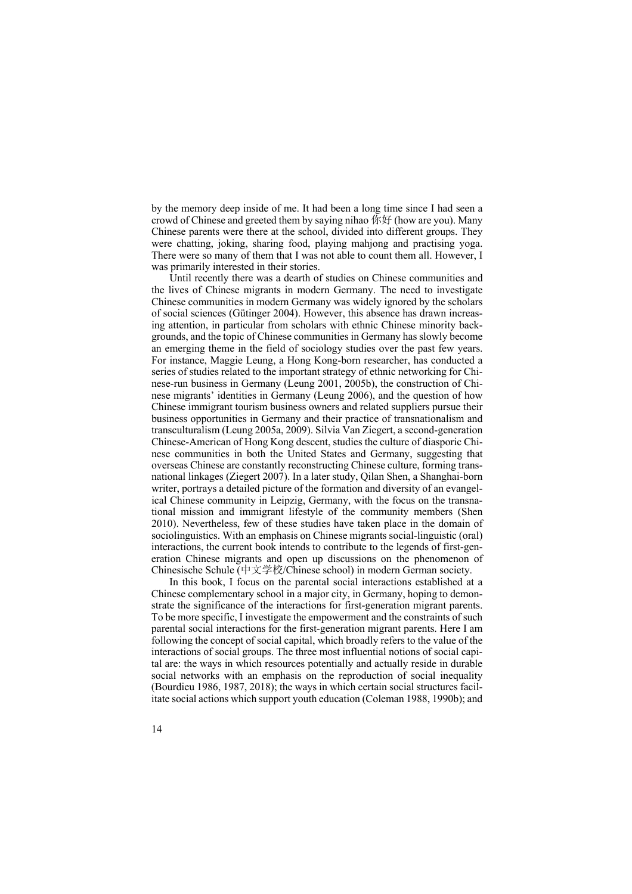by the memory deep inside of me. It had been a long time since I had seen a crowd of Chinese and greeted them by saying nihao 你好 (how are you). Many Chinese parents were there at the school, divided into different groups. They were chatting, joking, sharing food, playing mahjong and practising yoga. There were so many of them that I was not able to count them all. However, I was primarily interested in their stories.

Until recently there was a dearth of studies on Chinese communities and the lives of Chinese migrants in modern Germany. The need to investigate Chinese communities in modern Germany was widely ignored by the scholars of social sciences (Gütinger 2004). However, this absence has drawn increasing attention, in particular from scholars with ethnic Chinese minority backgrounds, and the topic of Chinese communities in Germany has slowly become an emerging theme in the field of sociology studies over the past few years. For instance, Maggie Leung, a Hong Kong-born researcher, has conducted a series of studies related to the important strategy of ethnic networking for Chinese-run business in Germany (Leung 2001, 2005b), the construction of Chinese migrants' identities in Germany (Leung 2006), and the question of how Chinese immigrant tourism business owners and related suppliers pursue their business opportunities in Germany and their practice of transnationalism and transculturalism (Leung 2005a, 2009). Silvia Van Ziegert, a second-generation Chinese-American of Hong Kong descent, studies the culture of diasporic Chinese communities in both the United States and Germany, suggesting that overseas Chinese are constantly reconstructing Chinese culture, forming transnational linkages (Ziegert 2007). In a later study, Qilan Shen, a Shanghai-born writer, portrays a detailed picture of the formation and diversity of an evangelical Chinese community in Leipzig, Germany, with the focus on the transnational mission and immigrant lifestyle of the community members (Shen 2010). Nevertheless, few of these studies have taken place in the domain of sociolinguistics. With an emphasis on Chinese migrants social-linguistic (oral) interactions, the current book intends to contribute to the legends of first-generation Chinese migrants and open up discussions on the phenomenon of Chinesische Schule (中文学校/Chinese school) in modern German society.

In this book, I focus on the parental social interactions established at a Chinese complementary school in a major city, in Germany, hoping to demonstrate the significance of the interactions for first-generation migrant parents. To be more specific, I investigate the empowerment and the constraints of such parental social interactions for the first-generation migrant parents. Here I am following the concept of social capital, which broadly refers to the value of the interactions of social groups. The three most influential notions of social capital are: the ways in which resources potentially and actually reside in durable social networks with an emphasis on the reproduction of social inequality (Bourdieu 1986, 1987, 2018); the ways in which certain social structures facilitate social actions which support youth education (Coleman 1988, 1990b); and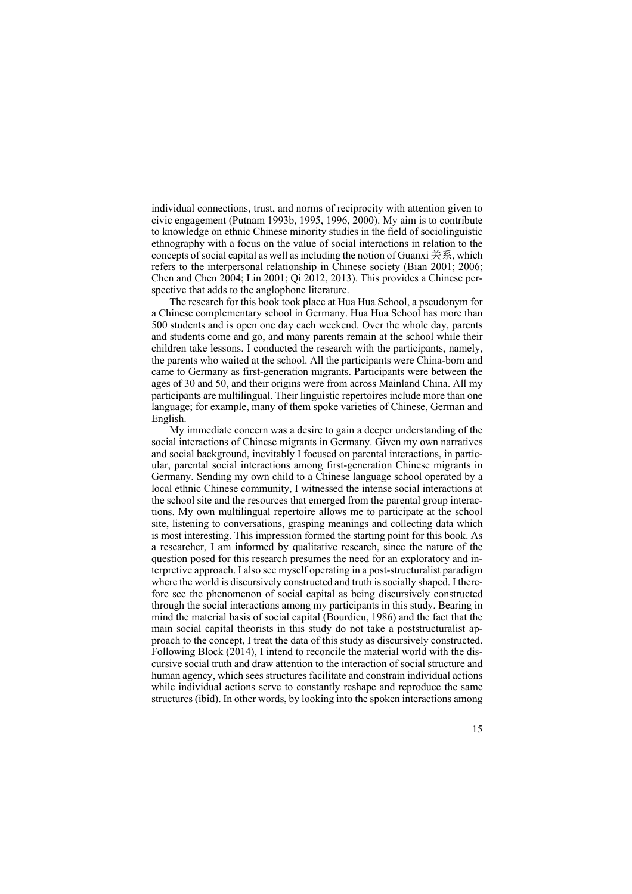individual connections, trust, and norms of reciprocity with attention given to civic engagement (Putnam 1993b, 1995, 1996, 2000). My aim is to contribute to knowledge on ethnic Chinese minority studies in the field of sociolinguistic ethnography with a focus on the value of social interactions in relation to the concepts of social capital as well as including the notion of Guanxi  $\ddot{\pm}$   $\ddot{\hat{\mathcal{F}}}$ , which refers to the interpersonal relationship in Chinese society (Bian 2001; 2006; Chen and Chen 2004; Lin 2001; Qi 2012, 2013). This provides a Chinese perspective that adds to the anglophone literature.

The research for this book took place at Hua Hua School, a pseudonym for a Chinese complementary school in Germany. Hua Hua School has more than 500 students and is open one day each weekend. Over the whole day, parents and students come and go, and many parents remain at the school while their children take lessons. I conducted the research with the participants, namely, the parents who waited at the school. All the participants were China-born and came to Germany as first-generation migrants. Participants were between the ages of 30 and 50, and their origins were from across Mainland China. All my participants are multilingual. Their linguistic repertoires include more than one language; for example, many of them spoke varieties of Chinese, German and English.

My immediate concern was a desire to gain a deeper understanding of the social interactions of Chinese migrants in Germany. Given my own narratives and social background, inevitably I focused on parental interactions, in particular, parental social interactions among first-generation Chinese migrants in Germany. Sending my own child to a Chinese language school operated by a local ethnic Chinese community, I witnessed the intense social interactions at the school site and the resources that emerged from the parental group interactions. My own multilingual repertoire allows me to participate at the school site, listening to conversations, grasping meanings and collecting data which is most interesting. This impression formed the starting point for this book. As a researcher, I am informed by qualitative research, since the nature of the question posed for this research presumes the need for an exploratory and interpretive approach. I also see myself operating in a post-structuralist paradigm where the world is discursively constructed and truth is socially shaped. I therefore see the phenomenon of social capital as being discursively constructed through the social interactions among my participants in this study. Bearing in mind the material basis of social capital (Bourdieu, 1986) and the fact that the main social capital theorists in this study do not take a poststructuralist approach to the concept, I treat the data of this study as discursively constructed. Following Block (2014), I intend to reconcile the material world with the discursive social truth and draw attention to the interaction of social structure and human agency, which sees structures facilitate and constrain individual actions while individual actions serve to constantly reshape and reproduce the same structures (ibid). In other words, by looking into the spoken interactions among